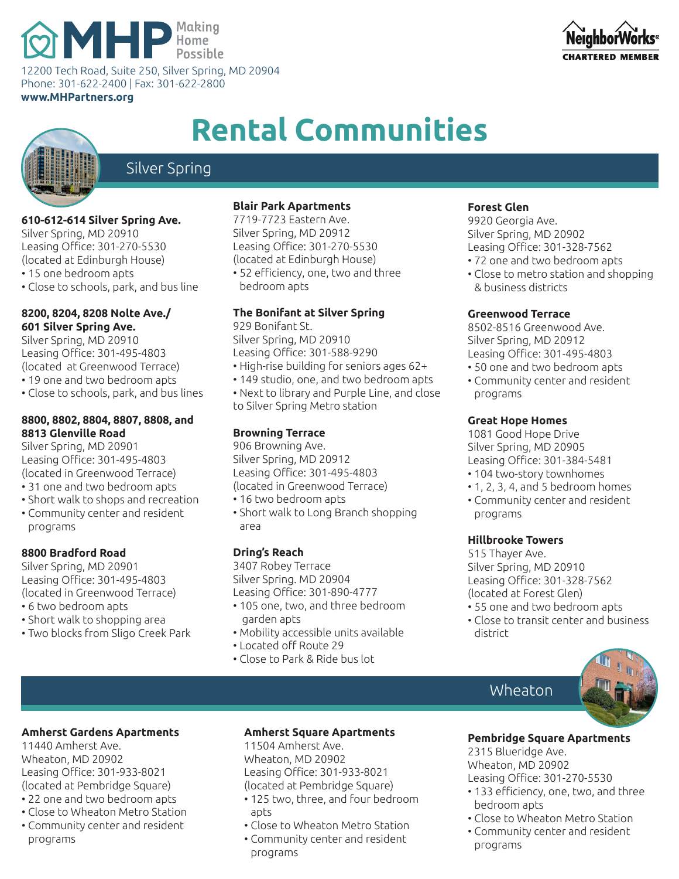# **MHP** Home<br>Possible

12200 Tech Road, Suite 250, Silver Spring, MD 20904 Phone: 301-622-2400 | Fax: 301-622-2800

**www.MHPartners.org**



## **Rental Communities**



## Silver Spring

#### **610-612-614 Silver Spring Ave.**

Silver Spring, MD 20910 Leasing Office: 301-270-5530 (located at Edinburgh House) • 15 one bedroom apts

• Close to schools, park, and bus line

#### **8200, 8204, 8208 Nolte Ave./ 601 Silver Spring Ave.**

Silver Spring, MD 20910 Leasing Office: 301-495-4803 (located at Greenwood Terrace) • 19 one and two bedroom apts

• Close to schools, park, and bus lines

#### **8800, 8802, 8804, 8807, 8808, and 8813 Glenville Road**

Silver Spring, MD 20901 Leasing Office: 301-495-4803 (located in Greenwood Terrace)

- 31 one and two bedroom apts
- Short walk to shops and recreation
- Community center and resident programs

#### **8800 Bradford Road**

Silver Spring, MD 20901 Leasing Office: 301-495-4803 (located in Greenwood Terrace)

- 6 two bedroom apts
- Short walk to shopping area
- Two blocks from Sligo Creek Park

#### **Blair Park Apartments**

7719-7723 Eastern Ave. Silver Spring, MD 20912 Leasing Office: 301-270-5530 (located at Edinburgh House) • 52 efficiency, one, two and three bedroom apts

#### **The Bonifant at Silver Spring**

929 Bonifant St. Silver Spring, MD 20910 Leasing Office: 301-588-9290 • High-rise building for seniors ages 62+

- 149 studio, one, and two bedroom apts
- Next to library and Purple Line, and close to Silver Spring Metro station

#### **Browning Terrace**

906 Browning Ave. Silver Spring, MD 20912 Leasing Office: 301-495-4803 (located in Greenwood Terrace)

- 16 two bedroom apts
- Short walk to Long Branch shopping area

#### **Dring's Reach**

3407 Robey Terrace Silver Spring. MD 20904 Leasing Office: 301-890-4777

- 105 one, two, and three bedroom garden apts
- Mobility accessible units available
- Located off Route 29
- Close to Park & Ride bus lot

#### **Forest Glen**

9920 Georgia Ave. Silver Spring, MD 20902 Leasing Office: 301-328-7562

- 72 one and two bedroom apts
- Close to metro station and shopping & business districts

#### **Greenwood Terrace**

8502-8516 Greenwood Ave. Silver Spring, MD 20912 Leasing Office: 301-495-4803

- 50 one and two bedroom apts
- Community center and resident programs

#### **Great Hope Homes**

1081 Good Hope Drive Silver Spring, MD 20905 Leasing Office: 301-384-5481

- 104 two-story townhomes
- 1, 2, 3, 4, and 5 bedroom homes • Community center and resident
- **Hillbrooke Towers**

programs

515 Thayer Ave. Silver Spring, MD 20910 Leasing Office: 301-328-7562 (located at Forest Glen)

- 55 one and two bedroom apts
- Close to transit center and business district.

### Wheaton



#### **Amherst Gardens Apartments**

11440 Amherst Ave. Wheaton, MD 20902 Leasing Office: 301-933-8021 (located at Pembridge Square)

- 22 one and two bedroom apts
- Close to Wheaton Metro Station
- Community center and resident programs

#### **Amherst Square Apartments**

11504 Amherst Ave. Wheaton, MD 20902 Leasing Office: 301-933-8021 (located at Pembridge Square)

- 125 two, three, and four bedroom ants.
- Close to Wheaton Metro Station
- Community center and resident programs

#### **Pembridge Square Apartments**

2315 Blueridge Ave. Wheaton, MD 20902 Leasing Office: 301-270-5530

- 133 efficiency, one, two, and three bedroom apts
- Close to Wheaton Metro Station
- Community center and resident programs